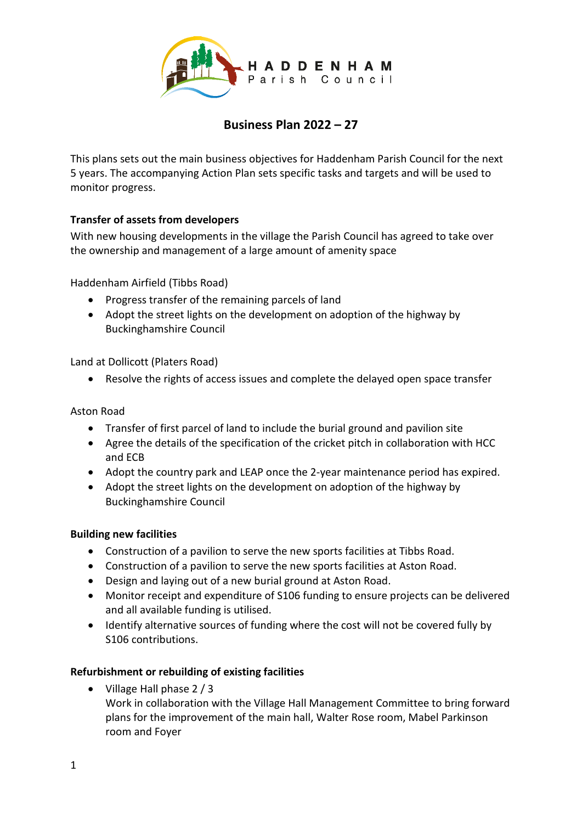

# **Business Plan 2022 – 27**

This plans sets out the main business objectives for Haddenham Parish Council for the next 5 years. The accompanying Action Plan sets specific tasks and targets and will be used to monitor progress.

# **Transfer of assets from developers**

With new housing developments in the village the Parish Council has agreed to take over the ownership and management of a large amount of amenity space

Haddenham Airfield (Tibbs Road)

- Progress transfer of the remaining parcels of land
- Adopt the street lights on the development on adoption of the highway by Buckinghamshire Council

Land at Dollicott (Platers Road)

Resolve the rights of access issues and complete the delayed open space transfer

### Aston Road

- Transfer of first parcel of land to include the burial ground and pavilion site
- Agree the details of the specification of the cricket pitch in collaboration with HCC and ECB
- Adopt the country park and LEAP once the 2-year maintenance period has expired.
- Adopt the street lights on the development on adoption of the highway by Buckinghamshire Council

# **Building new facilities**

- Construction of a pavilion to serve the new sports facilities at Tibbs Road.
- Construction of a pavilion to serve the new sports facilities at Aston Road.
- Design and laying out of a new burial ground at Aston Road.
- Monitor receipt and expenditure of S106 funding to ensure projects can be delivered and all available funding is utilised.
- Identify alternative sources of funding where the cost will not be covered fully by S106 contributions.

# **Refurbishment or rebuilding of existing facilities**

• Village Hall phase 2 / 3

Work in collaboration with the Village Hall Management Committee to bring forward plans for the improvement of the main hall, Walter Rose room, Mabel Parkinson room and Foyer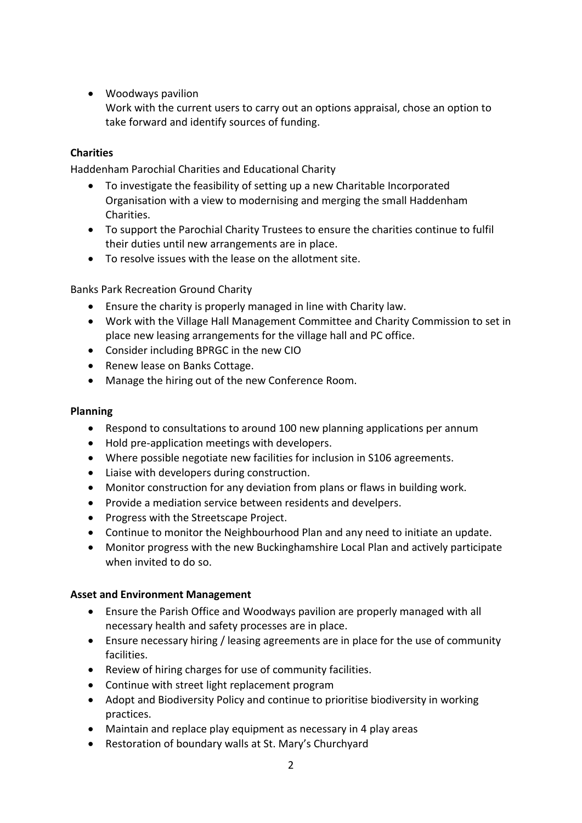# Woodways pavilion

Work with the current users to carry out an options appraisal, chose an option to take forward and identify sources of funding.

# **Charities**

Haddenham Parochial Charities and Educational Charity

- To investigate the feasibility of setting up a new Charitable Incorporated Organisation with a view to modernising and merging the small Haddenham Charities.
- To support the Parochial Charity Trustees to ensure the charities continue to fulfil their duties until new arrangements are in place.
- To resolve issues with the lease on the allotment site.

Banks Park Recreation Ground Charity

- Ensure the charity is properly managed in line with Charity law.
- Work with the Village Hall Management Committee and Charity Commission to set in place new leasing arrangements for the village hall and PC office.
- Consider including BPRGC in the new CIO
- Renew lease on Banks Cottage.
- Manage the hiring out of the new Conference Room.

### **Planning**

- Respond to consultations to around 100 new planning applications per annum
- Hold pre-application meetings with developers.
- Where possible negotiate new facilities for inclusion in S106 agreements.
- Liaise with developers during construction.
- Monitor construction for any deviation from plans or flaws in building work.
- Provide a mediation service between residents and develpers.
- Progress with the Streetscape Project.
- Continue to monitor the Neighbourhood Plan and any need to initiate an update.
- Monitor progress with the new Buckinghamshire Local Plan and actively participate when invited to do so.

# **Asset and Environment Management**

- Ensure the Parish Office and Woodways pavilion are properly managed with all necessary health and safety processes are in place.
- Ensure necessary hiring / leasing agreements are in place for the use of community facilities.
- Review of hiring charges for use of community facilities.
- Continue with street light replacement program
- Adopt and Biodiversity Policy and continue to prioritise biodiversity in working practices.
- Maintain and replace play equipment as necessary in 4 play areas
- Restoration of boundary walls at St. Mary's Churchyard